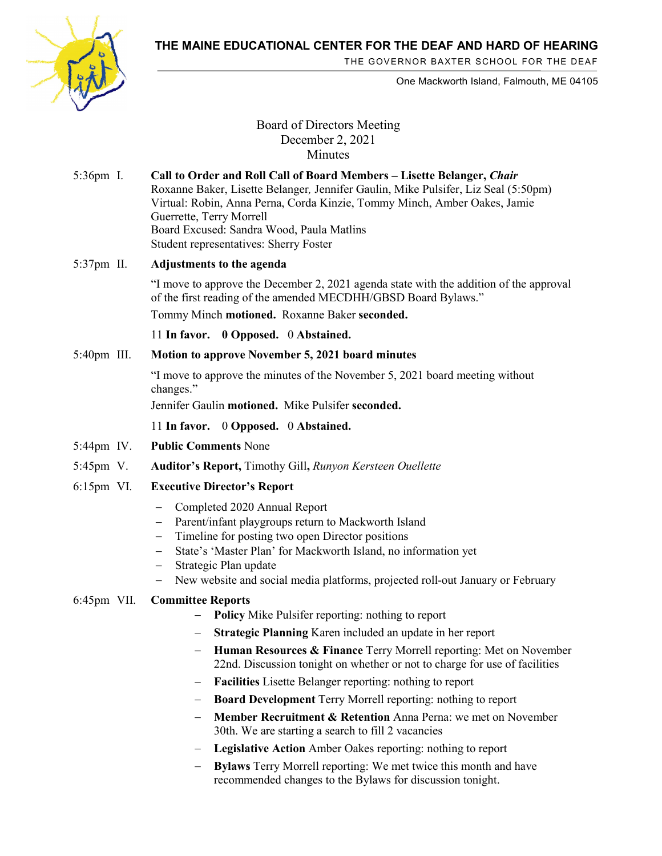**THE MAINE EDUCATIONAL CENTER FOR THE DEAF AND HARD OF HEARING**



THE GOVERNOR BAXTER SCHOOL FOR THE DEAF

One Mackworth Island, Falmouth, ME 04105

# Board of Directors Meeting December 2, 2021 **Minutes**

5:36pm I. **Call to Order and Roll Call of Board Members – Lisette Belanger,** *Chair* Roxanne Baker, Lisette Belanger*,* Jennifer Gaulin, Mike Pulsifer, Liz Seal (5:50pm) Virtual: Robin, Anna Perna, Corda Kinzie, Tommy Minch, Amber Oakes, Jamie Guerrette, Terry Morrell Board Excused: Sandra Wood, Paula Matlins Student representatives: Sherry Foster

## 5:37pm II. **Adjustments to the agenda**

"I move to approve the December 2, 2021 agenda state with the addition of the approval of the first reading of the amended MECDHH/GBSD Board Bylaws."

Tommy Minch **motioned.** Roxanne Baker **seconded.**

11 **In favor. 0 Opposed.** 0 **Abstained.** 

## 5:40pm III. **Motion to approve November 5, 2021 board minutes**

"I move to approve the minutes of the November 5, 2021 board meeting without changes."

Jennifer Gaulin **motioned.** Mike Pulsifer **seconded.**

11 **In favor.** 0 **Opposed.** 0 **Abstained.**

- 5:44pm IV. **Public Comments** None
- 5:45pm V. **Auditor's Report,** Timothy Gill**,** *Runyon Kersteen Ouellette*
- 6:15pm VI. **Executive Director's Report**
	- − Completed 2020 Annual Report
	- − Parent/infant playgroups return to Mackworth Island
	- − Timeline for posting two open Director positions
	- − State's 'Master Plan' for Mackworth Island, no information yet
	- Strategic Plan update
	- − New website and social media platforms, projected roll-out January or February

## 6:45pm VII. **Committee Reports**

- − **Policy** Mike Pulsifer reporting: nothing to report
- − **Strategic Planning** Karen included an update in her report
- − **Human Resources & Finance** Terry Morrell reporting: Met on November 22nd. Discussion tonight on whether or not to charge for use of facilities
- − **Facilities** Lisette Belanger reporting: nothing to report
- − **Board Development** Terry Morrell reporting: nothing to report
- − **Member Recruitment & Retention** Anna Perna: we met on November 30th. We are starting a search to fill 2 vacancies
- − **Legislative Action** Amber Oakes reporting: nothing to report
- **Bylaws** Terry Morrell reporting: We met twice this month and have recommended changes to the Bylaws for discussion tonight.